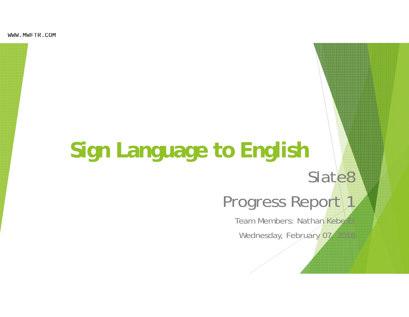WWW.MWFTR.COM

# **Sign Language to English**

## Slate8

### Progress Report 1

Team Members: Nathan Kebe Wednesday, February 07, 2018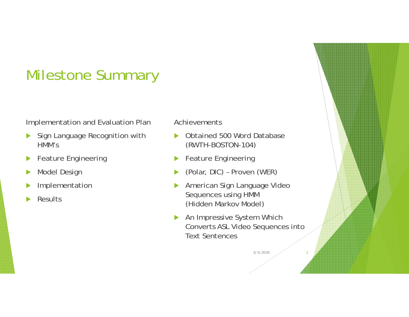### Milestone Summary

#### Implementation and Evaluation Plan

- $\blacktriangleright$  Sign Language Recognition with HMM's
- $\blacktriangleright$ Feature Engineering
- $\blacktriangleright$ Model Design
- $\blacktriangleright$ Implementation
- $\blacktriangleright$ **Results**

#### Achievements

- $\blacktriangleright$  Obtained 500 Word Database (RWTH-BOSTON-104)
- $\blacktriangleright$ Feature Engineering
- $\blacktriangleright$ (Polar, DIC) – Proven (WER)
- $\blacktriangleright$  American Sign Language Video Sequences using HMM (Hidden Markov Model)
- $\blacktriangleright$  An Impressive System Which Converts ASL Video Sequences into Text Sentences

2/5/20182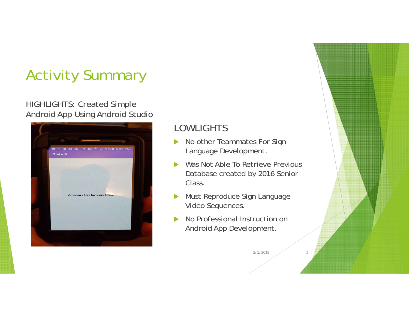### Activity Summary

#### HIGHLIGHTS: Created Simple Android App Using Android Studio



### LOWLIGHTS

- $\blacktriangleright$  No other Teammates For Sign Language Development.
- $\blacktriangleright$  Was Not Able To Retrieve Previous Database created by 2016 Senior Class.
- $\blacktriangleright$  Must Reproduce Sign Language Video Sequences.
- $\blacktriangleright$  No Professional Instruction on Android App Development.

2/5/20183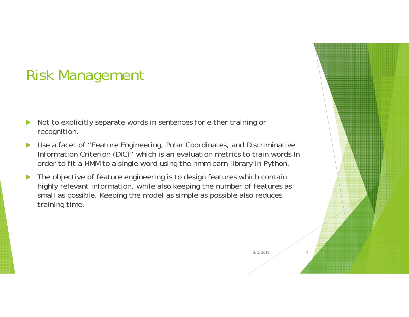### Risk Management

- $\blacktriangleright$  Not to explicitly separate words in sentences for either training or recognition.
- $\blacktriangleright$  Use a facet of "Feature Engineering, Polar Coordinates, and Discriminative Information Criterion (DIC)" which is an evaluation metrics to train words In order to fit a HMM to a single word using the hmmlearn library in Python.
- $\blacktriangleright$  The objective of feature engineering is to design features which contain highly relevant information, while also keeping the number of features as small as possible. Keeping the model as simple as possible also reduces training time.